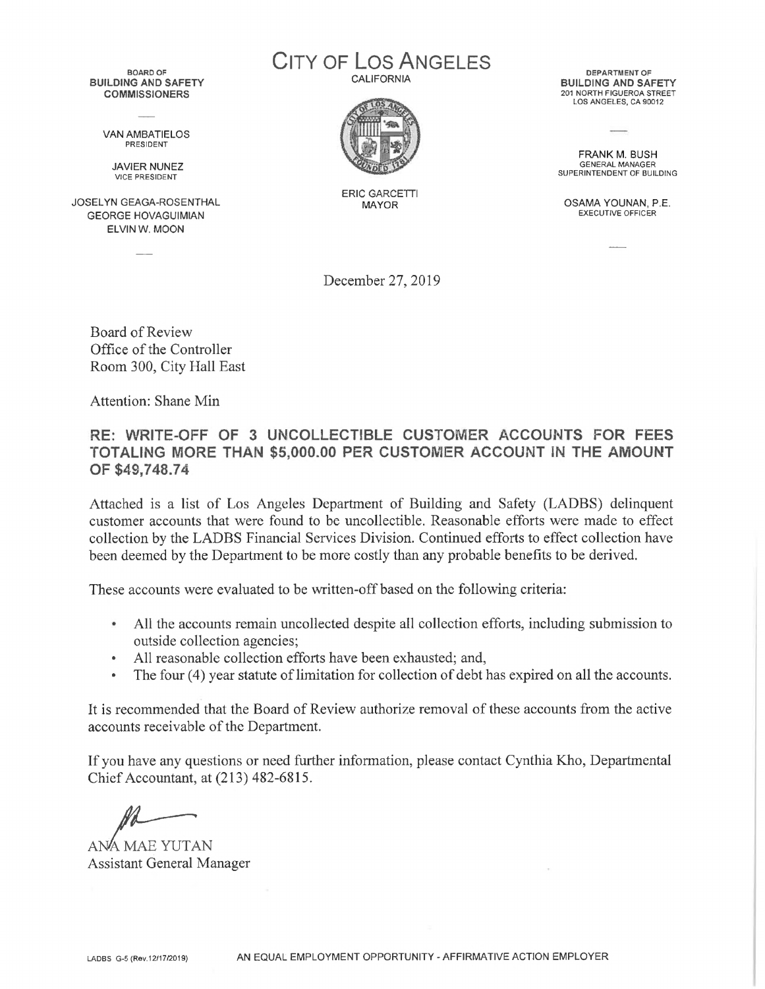BOARD OF **BUILDING AND SAFETY COMMISSIONERS**

> VAN AMBATIELOS PRESIDENT

JAVIER NUNEZ VICE PRESIDENT

JOSELYN GEAGA-ROSENTHAL GEORGE HOVAGUIMIAN ELVIN W. MOON

City of Los Angeles **CALIFORNIA** 



ERIC GARCETTI

DEPARTMENT OF **BUILDING AND SAFETY** 201 NORTH FIGUEROA STREET LOS ANGELES, CA 90012

FRANK M. BUSH GENERAL MANAGER SUPERINTENDENT OF BUILDING

OSAMA YOUNAN, P.E. EXECUTIVE OFFICER

December 27, 2019

Board of Review Office of the Controller Room 300, City Hall East

Attention: Shane Min

**RE: WRITE-OFF OF 3 UNCOLLECTIBLE CUSTOMER ACCOUNTS FOR FEES TOTALING MORE THAN \$5,000.00 PER CUSTOMER ACCOUNT IN THE AMOUNT OF \$49,748.74**

Attached is a list of Los Angeles Department of Building and Safety (LADBS) delinquent customer accounts that were found to be uncollectible. Reasonable efforts were made to effect collection by the LADBS Financial Services Division. Continued efforts to effect collection have been deemed by the Department to be more costly than any probable benefits to be derived.

These accounts were evaluated to be written-off based on the following criteria:

- All the accounts remain uncollected despite all collection efforts, including submission to outside collection agencies;
- All reasonable collection efforts have been exhausted; and,
- The four (4) year statute of limitation for collection of debt has expired on all the accounts.

It is recommended that the Board of Review authorize removal of these accounts from the active accounts receivable of the Department.

If you have any questions or need further information, please contact Cynthia Kho, Departmental Chief Accountant, at (213) 482-6815.

ANA MAE YUTAN Assistant General Manager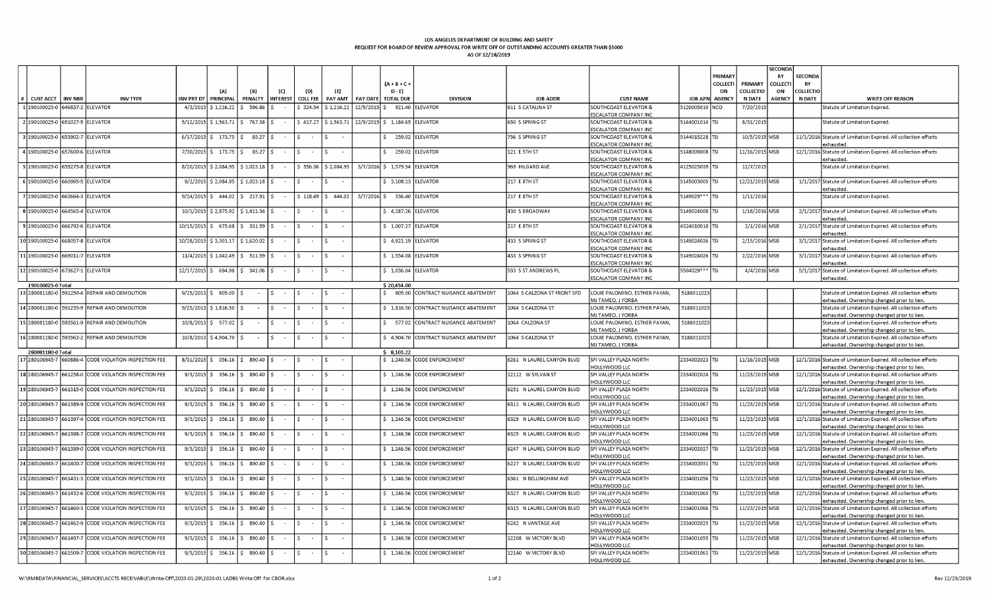## **LOS ANGELES DEPARTMENT OF BUILDING AND SAFETY REQUEST FOR BOARD OF REVIEW APPROVAL FOR WRITE OFF OF OUTSTANDING ACCOUNTS GREATER THAN \$5000 AS OF 12/18/2019**

|                   |                                  |                                                       |                   |                                        |                                                         |                  |                  |                       |                 |                         |                              |                             |                                         |                 |            |                | SECONDA   |                  |                                                                                                                |
|-------------------|----------------------------------|-------------------------------------------------------|-------------------|----------------------------------------|---------------------------------------------------------|------------------|------------------|-----------------------|-----------------|-------------------------|------------------------------|-----------------------------|-----------------------------------------|-----------------|------------|----------------|-----------|------------------|----------------------------------------------------------------------------------------------------------------|
|                   |                                  |                                                       |                   |                                        |                                                         |                  |                  |                       |                 |                         |                              |                             |                                         |                 | PRIMAR'    |                | <b>RY</b> | SECONDA          |                                                                                                                |
|                   |                                  |                                                       |                   |                                        |                                                         |                  |                  |                       |                 | $(A + B + C)$           |                              |                             |                                         |                 | COLLECTI   | PRIMARY        | COLLECT   | <b>RY</b>        |                                                                                                                |
|                   |                                  |                                                       |                   | ۵۱                                     |                                                         |                  |                  | (F)                   |                 | D - E)                  |                              |                             |                                         |                 | ON         | COLLECTIO      | ON        | <b>COLLECTIO</b> |                                                                                                                |
| <b>CUST ACCT</b>  | <b>INV NBR</b>                   | <b>INV TYPE</b>                                       | <b>INV PRT DT</b> | PRINCIPAL                              | PENALTY                                                 | <b>INTEREST</b>  | <b>COLL FEE</b>  | PAY AMT               | <b>PAY DATE</b> | <b>TOTAL DUE</b>        | <b>DIVISION</b>              | <b>JOB ADDR</b>             | <b>CUST NAME</b>                        | JOB APN AGENCY  |            | <b>N DATE</b>  | AGENCY    | <b>N DATE</b>    | <b>WRITE OFF REASON</b>                                                                                        |
| 1 190100025-0     |                                  | 646837-2 ELEVATOR                                     | 4/3/2015          | \$1,216.22                             | 596.86                                                  |                  | \$324.54         | \$1,216.22            | 12/9/2015       |                         | 921.40 ELEVATOR              | 611 S CATALINA ST           | SOUTHCOAST ELEVATOR &                   | 120005010       | <b>NCO</b> | 7/20/201       |           |                  | Statute of Limitation Expired.                                                                                 |
|                   |                                  |                                                       |                   |                                        |                                                         |                  |                  |                       |                 |                         |                              |                             | ESCALATOR COMPANY INC                   |                 |            |                |           |                  |                                                                                                                |
|                   | 2 190100025-0 651027-5 ELEVATOR  |                                                       |                   | $5/12/2015$ \$ 1,563.71 \$ 767.38 \$   |                                                         |                  |                  | $$417.27$ $$1,563.71$ |                 | $12/9/2015$ \$ 1,184.65 | <b>ELEVATOR</b>              | 650 S SPRING ST             | SOUTHCOAST ELEVATOR &                   | 5144001014 TSI  |            | 8/31/2015      |           |                  | Statute of Limitation Expired.                                                                                 |
|                   |                                  |                                                       |                   |                                        |                                                         |                  |                  |                       |                 |                         |                              |                             | ESCALATOR COMPANY INC                   |                 |            |                |           |                  |                                                                                                                |
|                   | 3 190100025-0 653902-7 ELEVATOR  |                                                       | 6/17/2015         | \$173.75                               | 85.27                                                   |                  |                  |                       |                 | 259.02                  | ELEVATOR                     | 756 S SPRING ST             | SOUTHCOAST ELEVATOR &                   | 5144015228 TSI  |            | 10/5/2015 MSB  |           |                  | 11/1/2016 Statute of Limitation Expired. All collection efforts                                                |
|                   |                                  |                                                       |                   |                                        |                                                         |                  |                  |                       |                 |                         |                              |                             | ESCALATOR COMPANY INC                   |                 |            |                |           |                  | exhausted                                                                                                      |
|                   | 4 190100025-0 657600-6 ELEVATOR  |                                                       |                   | 7/30/2015 \$173.75 \$                  | 85.27   \$                                              |                  |                  |                       |                 | 259.02                  | <b>ELEVATOR</b>              | 121 E 5TH ST                | SOUTHCOAST ELEVATOR &                   | 5148009008 TSI  |            | 11/16/2015 MSB |           |                  | 12/1/2016 Statute of Limitation Expired. All collection efforts                                                |
|                   |                                  |                                                       |                   |                                        |                                                         |                  |                  |                       |                 |                         |                              |                             | <b>ESCALATOR COMPANY INC</b>            |                 |            |                |           |                  | exhausted.                                                                                                     |
|                   | 5 190100025-0 659275-8 ELEVATOR  |                                                       | 8/20/2015         |                                        | $$2,084.95$ $$1,023.18$                                 |                  | \$556.36         | \$2,084.95            |                 | 3/7/2016 \$1,579.54     | <b>ELEVATOR</b>              | 969 HILGARD AVE             | <b>SOUTHCOAST ELEVATOR &amp;</b>        | 4125025039 TSI  |            | 12/7/2015      |           |                  | Statute of Limitation Expired.                                                                                 |
|                   |                                  |                                                       |                   |                                        |                                                         |                  |                  |                       |                 |                         |                              |                             | <b>ESCALATOR COMPANY INC</b>            |                 |            |                |           |                  |                                                                                                                |
|                   | 6 190100025-0 660995-5 ELEVATOR  |                                                       | 9/2/2015          |                                        | $$2,084.95$ $$1,023.18$ $$5$                            |                  | $\sim$           |                       |                 | \$3,108.13              | <b>ELEVATOR</b>              | 217 E 8TH ST                | SOUTHCOAST ELEVATOR &                   | 5145003005 TSI  |            | 12/21/2015 MSB |           |                  | 1/1/2017 Statute of Limitation Expired. All collection efforts                                                 |
|                   |                                  |                                                       |                   |                                        |                                                         |                  |                  |                       |                 |                         |                              |                             | <b>ESCALATOR COMPANY INC</b>            |                 |            |                |           |                  | exhausted.                                                                                                     |
| 7 190100025-0     |                                  | 663664-3 ELEVATOR                                     | 9/24/2015         |                                        | $\frac{1}{2}$ 444.02 $\frac{1}{2}$ 217.91 $\frac{1}{2}$ |                  | \$118.49         | \$444.02              |                 | 3/7/2016 \$ 336.40      | <b>ELEVATOR</b>              | 217 E 8TH ST                | <b>SOUTHCOAST ELEVATOR &amp;</b>        | 5149029 *** TSI |            | 1/11/2016      |           |                  | Statute of Limitation Expired.                                                                                 |
|                   |                                  |                                                       |                   |                                        |                                                         |                  |                  |                       |                 |                         |                              |                             | ESCALATOR COMPANY INC                   |                 |            |                |           |                  |                                                                                                                |
|                   | 8 190100025-0 664565-4 ELEVATOR  |                                                       |                   | 10/1/2015 \$2,875.92 \$1,411.34 \$     |                                                         |                  |                  |                       |                 | \$4,287.26              | <b>ELEVATOR</b>              | 430 S BROADWAY              | <b>SOUTHCOAST ELEVATOR &amp;</b>        | 5149024008 TSI  |            | 1/18/2016 MSB  |           |                  | 2/1/2017 Statute of Limitation Expired. All collection efforts                                                 |
|                   |                                  |                                                       |                   |                                        |                                                         |                  |                  |                       |                 |                         |                              |                             | <b>SCALATOR COMPANY INC</b>             |                 |            |                |           |                  | exhausted.                                                                                                     |
|                   | 9 190100025-0 666792-6 ELEVATOR  |                                                       |                   | 10/15/2015 \$ 675.68 \$ 331.59 \$      |                                                         |                  | $\sim$           | -S.                   |                 | \$1,007.27              | <b>LEVATOR</b>               | 217 E 8TH ST                | <b>SOUTHCOAST ELEVATOR &amp;</b>        | 4324010018 TSI  |            | 2/1/2016 MSB   |           |                  | 2/1/2017 Statute of Limitation Expired. All collection efforts                                                 |
|                   |                                  |                                                       |                   |                                        |                                                         |                  |                  |                       |                 |                         |                              |                             | <b>ESCALATOR COMPANY INC</b>            |                 |            |                |           |                  | exhausted                                                                                                      |
|                   | 10 190100025-0 668057-8 ELEVATOR |                                                       | 10/28/2015        |                                        | $$3,301.17$ $$1,620.02$ $$$                             | $\sim$           | $\sim$           |                       |                 | \$4,921.19              | ELEVATOR                     | 433 S SPRING ST             | SOUTHCOAST ELEVATOR &                   | 5149024026 TSI  |            | 2/15/2016 MSB  |           |                  | 3/1/2017 Statute of Limitation Expired. All collection efforts                                                 |
|                   |                                  |                                                       |                   |                                        |                                                         |                  |                  |                       |                 |                         |                              |                             | ESCALATOR COMPANY INC                   |                 |            |                |           |                  | exhausted                                                                                                      |
| 11 190100025-0    |                                  | 669011-7 ELEVATOR                                     | 11/4/2015         |                                        | $$1,042.49$ $$511.59$                                   |                  |                  |                       |                 | \$1,554.08              | LEVATOR                      | 433 S SPRING ST             | <b>SOUTHCOAST ELEVATOR &amp;</b>        | 5149024026 TSI  |            | 2/22/2016 MSB  |           |                  | 3/1/2017 Statute of Limitation Expired. All collection efforts                                                 |
|                   |                                  |                                                       |                   |                                        |                                                         |                  |                  |                       |                 |                         |                              |                             | <b>ESCALATOR COMPANY INC</b>            |                 |            |                |           |                  | exhaustec                                                                                                      |
|                   | 12 190100025-0 673627-1 ELEVATOR |                                                       | 12/17/2015        | \$694.98                               | \$341.06                                                |                  |                  |                       |                 | \$1,036.04              | <b>ELEVATOR</b>              | 533 S ST ANDREWS PL         | SOUTHCOAST ELEVATOR &                   | 5504029 *** TSI |            | 4/4/2016 MSB   |           |                  | 5/1/2017 Statute of Limitation Expired. All collection efforts                                                 |
|                   |                                  |                                                       |                   |                                        |                                                         |                  |                  |                       |                 |                         |                              |                             | ESCALATOR COMPANY INC                   |                 |            |                |           |                  | exhausted.                                                                                                     |
| 190100025-0 Total |                                  |                                                       |                   |                                        |                                                         |                  |                  |                       |                 | \$20,454.00             |                              |                             |                                         |                 |            |                |           |                  |                                                                                                                |
|                   |                                  | 13 280081180-0 591250-4 REPAIR AND DEMOLITION         |                   | $9/25/2013$ \$ 805.00                  |                                                         |                  |                  |                       |                 | 805.00                  | CONTRACT NUISANCE ABATEMENT  | 1064 S CALZONA ST FRONT SFD | LOUIE PALOMINO, ESTHER PAYAN,           | 5188011023      |            |                |           |                  | Statute of Limitation Expired. All collection efforts                                                          |
|                   |                                  |                                                       |                   |                                        |                                                         |                  |                  |                       |                 |                         |                              |                             | MJ TAMEO. J YORBA                       |                 |            |                |           |                  | exhausted. Ownership changed prior to lien.                                                                    |
|                   |                                  | 14 280081180-0 591255-9 REPAIR AND DEMOLITION         | 9/25/2013         | $$1,816.50$ $$$                        | $\sim$                                                  |                  | $\sim$           | -Ś.                   |                 | \$1,816.50              | CONTRACT NUISANCE ABATEMENT  | 1064 S CALZONA ST           | LOUIE PALOMINO, ESTHER PAYAN,           | 5188011023      |            |                |           |                  | Statute of Limitation Expired. All collection efforts                                                          |
|                   |                                  |                                                       |                   |                                        |                                                         |                  |                  |                       |                 |                         |                              |                             | MJ TAMEO, J YORBA                       |                 |            |                |           |                  | exhausted. Ownership changed prior to lien.                                                                    |
|                   |                                  | 15 280081180-0 593561-9 REPAIR AND DEMOLITION         | 10/8/2013         | $$ 577.02$ \$                          | $\sim$                                                  | $\sim$           | $\sim$           | S.                    |                 | S.<br>577.02            | CONTRACT NUISANCE ABATEMENT  | 1064 CALZONA ST             | LOUIE PALOMINO, ESTHER PAYAN,           | 5188011023      |            |                |           |                  | Statute of Limitation Expired. All collection efforts                                                          |
|                   |                                  |                                                       |                   |                                        |                                                         |                  |                  |                       |                 |                         |                              |                             | MJ TAMEO, J YORBA                       |                 |            |                |           |                  | exhausted. Ownership changed prior to lien.                                                                    |
|                   |                                  | 16 280081180-0 593562-2 REPAIR AND DEMOLITION         | 10/8/2013         | $$4,904.70$ $$$                        |                                                         | S.               |                  |                       |                 | \$4,904.70              | CONTRACT NUISANCE ABATEMENT  | 1064 S CALZONA ST           | LOUIE PALOMINO, ESTHER PAYAN,           | 5188011023      |            |                |           |                  | Statute of Limitation Expired. All collection efforts                                                          |
|                   |                                  |                                                       |                   |                                        |                                                         |                  |                  |                       |                 |                         |                              |                             | MJ TAMEO. J YORBA                       |                 |            |                |           |                  | exhausted. Ownership changed prior to lien.                                                                    |
| 280081180-0 Total |                                  |                                                       |                   |                                        |                                                         |                  |                  |                       |                 | \$3,103.22              |                              |                             |                                         |                 |            |                |           |                  |                                                                                                                |
|                   |                                  | 17 280106945-7 660886-4 CODE VIOLATION INSPECTION FEE |                   | $8/31/2015$ \$ 356.16 \$ 890.40 \$     |                                                         |                  | I S.<br>$\sim$   | I S                   |                 |                         | \$ 1,246.56 CODE ENFORCEMENT | 6261 N LAUREL CANYON BLVD   | <b>SFI VALLEY PLAZA NORTH</b>           | 2334002023 TSI  |            | 11/16/2015 MSB |           |                  | 12/1/2016 Statute of Limitation Expired. All collection efforts                                                |
|                   |                                  |                                                       |                   |                                        |                                                         |                  |                  |                       |                 |                         |                              |                             | HOLLYWOOD LLC                           |                 |            |                |           |                  | exhausted. Ownership changed prior to lien.                                                                    |
|                   |                                  | 18 280106945-7 661258-0 CODE VIOLATION INSPECTION FEE |                   | $9/3/2015$ \$ 356.16 \$ 890.40 \$ - \$ |                                                         |                  | $\sim 10^{-1}$   | I\$.                  |                 | \$1,246.56              | CODE ENFORCEMENT             | 12112 W SYLVAN ST           | SFI VALLEY PLAZA NORTH                  | 2334002024 TSI  |            | 11/23/2015 MSB |           |                  | 12/1/2016 Statute of Limitation Expired. All collection efforts                                                |
|                   |                                  |                                                       |                   |                                        |                                                         |                  |                  |                       |                 |                         |                              |                             | HOLLYWOOD LLC                           |                 |            |                |           |                  | exhausted. Ownership changed prior to lien.                                                                    |
|                   |                                  | 19 280106945-7 661315-0 CODE VIOLATION INSPECTION FEE | 9/3/2015          |                                        | $$356.16$ $$390.40$                                     |                  |                  |                       |                 | \$1,246.56              | CODE ENFORCEMENT             | 6251 N LAUREL CANYON BLVD   | SFI VALLEY PLAZA NORTH                  | 2334002026 TSI  |            | 11/23/2015 MSB |           |                  | 12/1/2016 Statute of Limitation Expired. All collection efforts                                                |
|                   |                                  |                                                       |                   |                                        |                                                         |                  |                  |                       |                 |                         |                              |                             | HOLLYWOOD LLC                           |                 |            |                |           |                  | exhausted. Ownership changed prior to lien.                                                                    |
|                   |                                  | 20 280106945-7 661389-9 CODE VIOLATION INSPECTION FEE |                   | $9/3/2015$ \$ 356.16 \$ 890.40 \$      |                                                         |                  | $\sim$           |                       |                 | \$1,246.56              | CODE ENFORCEMENT             | 6311 N LAUREL CANYON BLVD   | SFI VALLEY PLAZA NORTH                  | 2334001067 TSI  |            | 11/23/2015 MSB |           |                  | 12/1/2016 Statute of Limitation Expired. All collection efforts                                                |
|                   |                                  |                                                       |                   |                                        |                                                         |                  |                  |                       |                 |                         |                              |                             | HOLLYWOOD LLC                           |                 |            |                |           |                  | exhausted. Ownership changed prior to lien.                                                                    |
|                   |                                  | 21 280106945-7 661397-4 CODE VIOLATION INSPECTION FEE | 9/3/2015          | \$356.16                               | 890.40                                                  |                  |                  |                       |                 | \$1,246.56              | CODE ENFORCEMENT             | 6329 N LAUREL CANYON BLVD   | SFI VALLEY PLAZA NORTH                  | 2334001065 TSI  |            | 11/23/2015 MSB |           |                  | 12/1/2016 Statute of Limitation Expired. All collection efforts                                                |
|                   |                                  |                                                       |                   |                                        |                                                         |                  |                  |                       |                 |                         |                              |                             | HOLLYWOOD LLC                           |                 |            |                |           |                  | exhausted. Ownership changed prior to lien.                                                                    |
|                   |                                  | 22 280106945-7 661398-7 CODE VIOLATION INSPECTION FEE |                   | $9/3/2015$ \$ 356.16 \$ 890.40 \$      |                                                         |                  | $\sim$           |                       |                 | \$1,246.56              | CODE ENFORCEMENT             | 6325 N LAUREL CANYON BLVD   | SFI VALLEY PLAZA NORTH                  | 2334001066 TSI  |            | 11/23/2015 MSB |           |                  | 12/1/2016 Statute of Limitation Expired. All collection efforts                                                |
|                   |                                  |                                                       |                   |                                        |                                                         |                  |                  |                       |                 |                         |                              |                             | <b>OLLYWOOD LLC</b>                     |                 |            |                |           |                  | exhausted. Ownership changed prior to lien.                                                                    |
|                   |                                  | 23 280106945-7 661399-0 CODE VIOLATION INSPECTION FEE |                   | $9/3/2015$ \$ 356.16 \$ 890.40 \$      |                                                         |                  |                  |                       |                 | \$1,246.56              | CODE ENFORCEMENT             | 6247 N LAUREL CANYON BLVD   | SFI VALLEY PLAZA NORTH                  | 2334002027 TSI  |            | 11/23/2015 MSB |           |                  | 12/1/2016 Statute of Limitation Expired. All collection efforts                                                |
|                   |                                  |                                                       |                   |                                        |                                                         |                  |                  |                       |                 |                         |                              |                             | HOLLYWOOD LLC                           |                 |            |                |           |                  | exhausted. Ownership changed prior to lien.                                                                    |
|                   |                                  | 24 280106945-7 661400-7 CODE VIOLATION INSPECTION FEE |                   | $9/3/2015$ \$ 356.16 \$ 890.40 \$      |                                                         |                  |                  |                       |                 | \$1,246.56              | CODE ENFORCEMENT             | 6227 N LAUREL CANYON BLVD   | SFI VALLEY PLAZA NORTH                  | 2334002031 TSI  |            | 11/23/2015 MSB |           |                  | 12/1/2016 Statute of Limitation Expired. All collection efforts                                                |
|                   |                                  |                                                       |                   |                                        |                                                         |                  |                  |                       |                 |                         |                              |                             | HOLLYWOOD LLC                           |                 |            |                |           |                  | exhausted. Ownership changed prior to lien.                                                                    |
|                   |                                  | 25 280106945-7 661431-3 CODE VIOLATION INSPECTION FEE |                   | $9/3/2015$ \$ 356.16 \$ 890.40 \$      |                                                         |                  | $\sim$           | Ś.                    |                 | \$1,246.56              | CODE ENFORCEMENT             | 6361 N BELLINGHAM AVE       | SFI VALLEY PLAZA NORTH                  | 2334001056 TSI  |            | 11/23/2015 MSB |           |                  | 12/1/2016 Statute of Limitation Expired. All collection efforts                                                |
|                   |                                  |                                                       |                   |                                        |                                                         |                  |                  |                       |                 |                         |                              |                             | HOLLYWOOD LLC                           |                 |            |                |           |                  | exhausted. Ownership changed prior to lien.                                                                    |
|                   |                                  | 26 280106945-7 661432-6 CODE VIOLATION INSPECTION FEE | 9/3/2015          |                                        | $$356.16$ $$890.40$ $$$                                 | $\sim$ 100 $\mu$ | I S.<br>$\sim$   | $\leq$                |                 | \$1,246.56              | CODE ENFORCEMENT             | 6327 N LAUREL CANYON BLVD   | SFI VALLEY PLAZA NORTH                  | 2334001065 TSI  |            | 11/23/2015 MSB |           |                  | 12/1/2016 Statute of Limitation Expired. All collection efforts                                                |
|                   |                                  |                                                       |                   |                                        |                                                         |                  |                  |                       |                 |                         |                              |                             | <b>OLLYWOOD LLC</b>                     |                 |            |                |           |                  | exhausted. Ownership changed prior to lien.                                                                    |
| 27 280106945-7    |                                  | 661460-3 CODE VIOLATION INSPECTION FEE                | 9/3/2015          | \$356.16                               | \$ 890.40 \$                                            |                  | -Ś.<br>$\sim$    | Ŝ.                    |                 | \$1,246.56              | CODE ENFORCEMENT             | 6315 N LAUREL CANYON BLVD   | SFI VALLEY PLAZA NORTH                  | 2334001066 TSI  |            | 11/23/2015 MSB |           |                  | 12/1/2016 Statute of Limitation Expired. All collection efforts                                                |
|                   |                                  |                                                       |                   |                                        |                                                         |                  |                  |                       |                 |                         |                              |                             | HOLLYWOOD LLC                           |                 |            |                |           |                  | exhausted. Ownership changed prior to lien.                                                                    |
|                   |                                  | 28 280106945-7 661462-9 CODE VIOLATION INSPECTION FEE | 9/3/2015          | \$356.16                               | 890.40 S                                                |                  |                  |                       |                 | \$1,246.56              | CODE ENFORCEMENT             | 6242 N VANTAGE AVE          | SFI VALLEY PLAZA NORTH                  | 2334002025 TSI  |            | 11/23/2015 MSB |           |                  | 12/1/2016 Statute of Limitation Expired. All collection efforts                                                |
|                   |                                  |                                                       |                   |                                        |                                                         |                  |                  |                       |                 |                         |                              |                             | HOLLYWOOD LLC                           |                 |            |                |           |                  | exhausted. Ownership changed prior to lien.                                                                    |
|                   |                                  | 29 280106945-7 661497-7 CODE VIOLATION INSPECTION FEE |                   | $9/3/2015$ \$ 356.16                   | 890.40                                                  |                  | $\sim$           | Ŝ.                    |                 | $5$ 1.246.56            | CODE ENFORCEMENT             | 12208 W VICTORY BLVD        | SFI VALLEY PLAZA NORTH                  | 2334001055 TSI  |            | 11/23/2015 MSB |           |                  |                                                                                                                |
|                   |                                  |                                                       |                   |                                        |                                                         |                  |                  |                       |                 |                         |                              |                             | HOLLYWOOD LLC                           |                 |            |                |           |                  | 12/1/2016 Statute of Limitation Expired. All collection efforts<br>exhausted. Ownership changed prior to lien. |
|                   |                                  | 30 280106945-7 661509-7 CODE VIOLATION INSPECTION FEE |                   | $9/3/2015$ \$ 356.16                   | $\frac{1}{2}$ 890.40 $\frac{1}{2}$                      |                  | $\leq$<br>$\sim$ |                       |                 | \$1,246.56              | <b>CODE ENFORCEMENT</b>      | 12140 W VICTORY BLVD        |                                         | 2334001061 TSI  |            |                |           |                  |                                                                                                                |
|                   |                                  |                                                       |                   |                                        |                                                         |                  |                  |                       |                 |                         |                              |                             | SFI VALLEY PLAZA NORTH<br>HOLLYWOOD LLC |                 |            | 11/23/2015 MSB |           |                  | 12/1/2016 Statute of Limitation Expired. All collection efforts                                                |
|                   |                                  |                                                       |                   |                                        |                                                         |                  |                  |                       |                 |                         |                              |                             |                                         |                 |            |                |           |                  | exhausted. Ownership changed prior to lien.                                                                    |